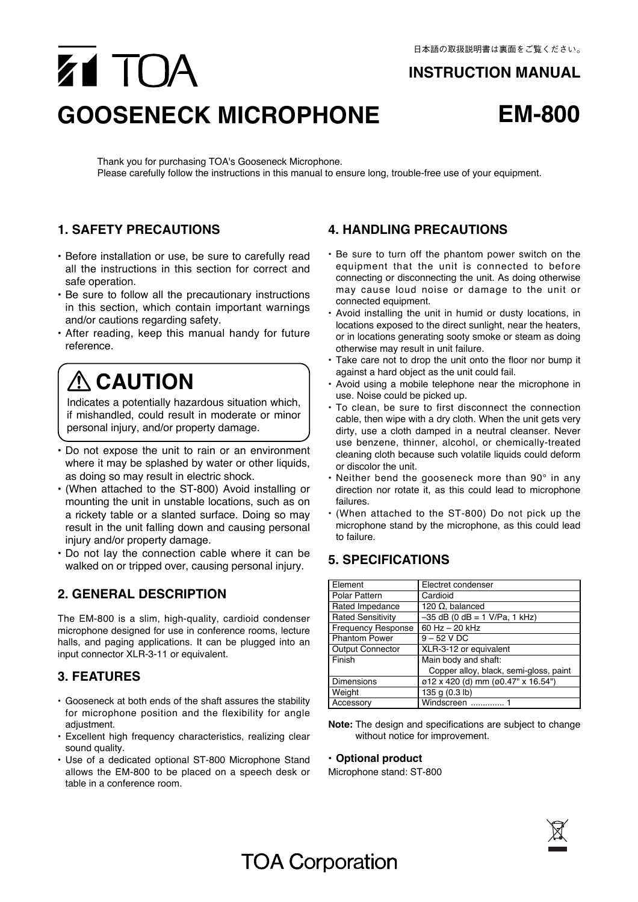#### **INSTRUCTION MANUAL**

# Z1 TOA **GOOSENECK MICROPHONE EM-800**



Thank you for purchasing TOA's Gooseneck Microphone. Please carefully follow the instructions in this manual to ensure long, trouble-free use of your equipment.

### **1. SAFETY PRECAUTIONS**

- Before installation or use, be sure to carefully read all the instructions in this section for correct and safe operation.
- Be sure to follow all the precautionary instructions in this section, which contain important warnings and/or cautions regarding safety.
- After reading, keep this manual handy for future reference.

## **ACAUTION**

Indicates a potentially hazardous situation which, if mishandled, could result in moderate or minor personal injury, and/or property damage.

- Do not expose the unit to rain or an environment where it may be splashed by water or other liquids, as doing so may result in electric shock.
- (When attached to the ST-800) Avoid installing or mounting the unit in unstable locations, such as on a rickety table or a slanted surface. Doing so may result in the unit falling down and causing personal injury and/or property damage.
- Do not lay the connection cable where it can be walked on or tripped over, causing personal injury.

### **2. GENERAL DESCRIPTION**

The EM-800 is a slim, high-quality, cardioid condenser microphone designed for use in conference rooms, lecture halls, and paging applications. It can be plugged into an input connector XLR-3-11 or equivalent.

#### **3. FEATURES**

- Gooseneck at both ends of the shaft assures the stability for microphone position and the flexibility for angle adiustment.
- Excellent high frequency characteristics, realizing clear sound quality.
- Use of a dedicated optional ST-800 Microphone Stand allows the EM-800 to be placed on a speech desk or table in a conference room.

#### **4. HANDLING PRECAUTIONS**

- Be sure to turn off the phantom power switch on the equipment that the unit is connected to before connecting or disconnecting the unit. As doing otherwise may cause loud noise or damage to the unit or connected equipment.
- Avoid installing the unit in humid or dusty locations, in locations exposed to the direct sunlight, near the heaters, or in locations generating sooty smoke or steam as doing otherwise may result in unit failure.
- Take care not to drop the unit onto the floor nor bump it against a hard object as the unit could fail.
- Avoid using a mobile telephone near the microphone in use. Noise could be picked up.
- To clean, be sure to first disconnect the connection cable, then wipe with a dry cloth. When the unit gets very dirty, use a cloth damped in a neutral cleanser. Never use benzene, thinner, alcohol, or chemically-treated cleaning cloth because such volatile liquids could deform or discolor the unit.
- Neither bend the gooseneck more than 90° in any direction nor rotate it, as this could lead to microphone failures.
- (When attached to the ST-800) Do not pick up the microphone stand by the microphone, as this could lead to failure.

### **5. SPECIFICATIONS**

| Element                   | Electret condenser                     |
|---------------------------|----------------------------------------|
| Polar Pattern             | Cardioid                               |
| Rated Impedance           | 120 $\Omega$ , balanced                |
| <b>Rated Sensitivity</b>  | $-35$ dB (0 dB = 1 V/Pa, 1 kHz)        |
| <b>Frequency Response</b> | 60 Hz - 20 kHz                         |
| <b>Phantom Power</b>      | $9 - 52$ V DC                          |
| <b>Output Connector</b>   | XLR-3-12 or equivalent                 |
| Finish                    | Main body and shaft:                   |
|                           | Copper alloy, black, semi-gloss, paint |
| <b>Dimensions</b>         | ø12 x 420 (d) mm (ø0.47" x 16.54")     |
| Weight                    | 135 g (0.3 lb)                         |
| Accessory                 | Windscreen                             |

**Note:** The design and specifications are subject to change without notice for improvement.

#### **• Optional product**

Microphone stand: ST-800